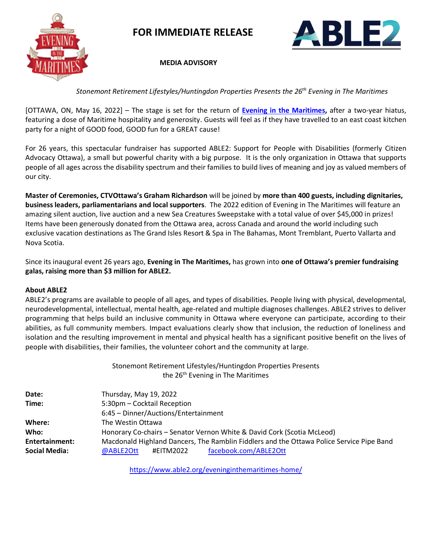

 **FOR IMMEDIATE RELEASE**



 **MEDIA ADVISORY**

*Stonemont Retirement Lifestyles/Huntingdon Properties Presents the 26th Evening in The Maritimes*

[OTTAWA, ON, May 16, 2022] – The stage is set for the return of **[Evening in the Maritimes,](https://www.able2.org/eveninginthemaritimes-home/)** after a two-year hiatus, featuring a dose of Maritime hospitality and generosity. Guests will feel as if they have travelled to an east coast kitchen party for a night of GOOD food, GOOD fun for a GREAT cause!

For 26 years, this spectacular fundraiser has supported ABLE2: Support for People with Disabilities (formerly Citizen Advocacy Ottawa), a small but powerful charity with a big purpose. It is the only organization in Ottawa that supports people of all ages across the disability spectrum and their families to build lives of meaning and joy as valued members of our city.

**Master of Ceremonies, CTVOttawa's Graham Richardson** will be joined by **more than 400 guests, including dignitaries, business leaders, parliamentarians and local supporters**. The 2022 edition of Evening in The Maritimes will feature an amazing silent auction, live auction and a new Sea Creatures Sweepstake with a total value of over \$45,000 in prizes! Items have been generously donated from the Ottawa area, across Canada and around the world including such exclusive vacation destinations as The Grand Isles Resort & Spa in The Bahamas, Mont Tremblant, Puerto Vallarta and Nova Scotia.

Since its inaugural event 26 years ago, **Evening in The Maritimes,** has grown into **one of Ottawa's premier fundraising galas, raising more than \$3 million for ABLE2.** 

## **About ABLE2**

ABLE2's programs are available to people of all ages, and types of disabilities. People living with physical, developmental, neurodevelopmental, intellectual, mental health, age-related and multiple diagnoses challenges. ABLE2 strives to deliver programming that helps build an inclusive community in Ottawa where everyone can participate, according to their abilities, as full community members. Impact evaluations clearly show that inclusion, the reduction of loneliness and isolation and the resulting improvement in mental and physical health has a significant positive benefit on the lives of people with disabilities, their families, the volunteer cohort and the community at large.

> Stonemont Retirement Lifestyles/Huntingdon Properties Presents the 26<sup>th</sup> Evening in The Maritimes

| Date:          | Thursday, May 19, 2022                                                                   |
|----------------|------------------------------------------------------------------------------------------|
| Time:          | 5:30pm - Cocktail Reception                                                              |
|                | 6:45 - Dinner/Auctions/Entertainment                                                     |
| Where:         | The Westin Ottawa                                                                        |
| Who:           | Honorary Co-chairs - Senator Vernon White & David Cork (Scotia McLeod)                   |
| Entertainment: | Macdonald Highland Dancers, The Ramblin Fiddlers and the Ottawa Police Service Pipe Band |
| Social Media:  | facebook.com/ABLE2Ott<br>@ABLE2Ott<br>#EITM2022                                          |

<https://www.able2.org/eveninginthemaritimes-home/>